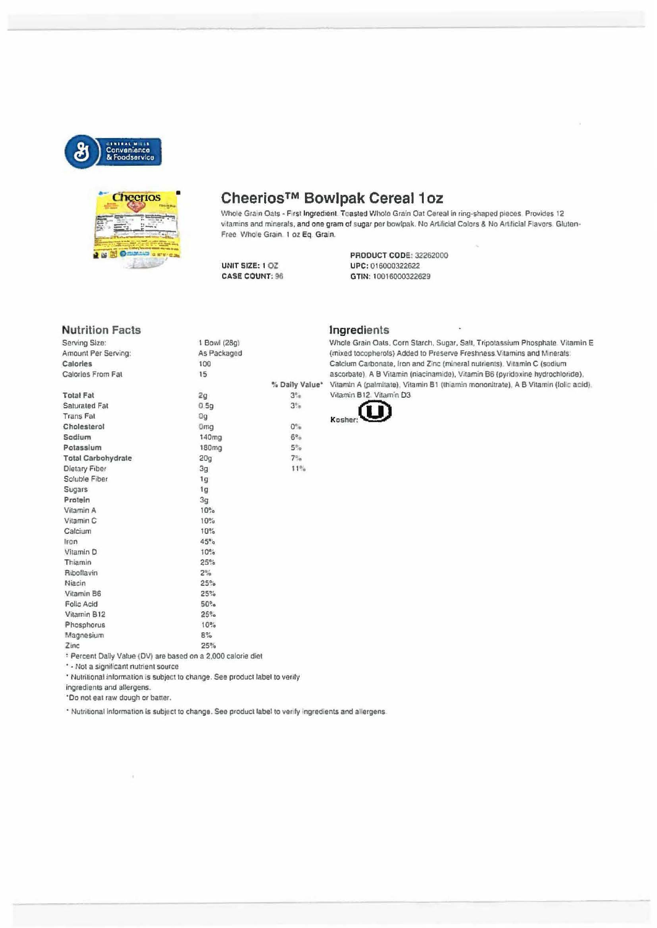

**Nutrition Facts** 

Amount Per Serving:

Calories From Fat

Serving Size:

Calories

**Total Fat** 

**Trans Fat** 

Sodium

Cholesterol

Potassium **Total Carbohydrate** 

Dietary Fiber

Soluble Fiber

Sugars

Protein

Vitamin A

Vitamin C

Magnesium

Calcium

Iron

Saturated Fat



### Cheerios™ Bowlpak Cereal 1oz

Whole Grain Oats - First Ingredient. Toasted Whole Grain Oat Cereal in ring-shaped pieces Provides 12 vitamins and minerals, and one gram of sugar per bowlpak. No Artificial Colors & No Artificial Flavors. Gluten-Free Whole Grain. 1 oz Eq. Grain.

#### UNIT SIZE: 1 OZ **CASE COUNT: 96**

1 Bowl (28g)

As Packaged

100

15

 $2g$ 

Og

 $0.59$ 

Omg

 $20g$ 

 $3<sub>g</sub>$ 

 $1g$ 

 $1g$ 

 $3\mathfrak{g}$ 

 $10%$ 

 $10%$ 

 $10%$ 

 $45°<sub>o</sub>$ 

 $\mathsf{B}^{\sigma\prime}_{\phantom{a}\sigma\sigma}$ 

140mg

180mg

**PRODUCT CODE: 32262000** UPC: 016000322622 GTIN: 10016000322629

#### Ingredients

% Daily Value\*

 $3^\circ$ 

 $3\%$ 

 $0^\circ$ 

 $6\%$ 

 $5%$ 

 $7%$ 

 $11%$ 

Whole Grain Oats, Corn Starch, Sugar, Salt, Tripotassium Phosphate. Vitamin E (mixed tocopherols) Added to Preserve Freshness Vitamins and Minerals Calcium Carbonate, Iron and Zinc (mineral nutrients). Vitamin C (sodium ascorbate) A B Vitamin (niacinamide), Vitamin B6 (pyridoxine hydrochloride), Vitamin A (palmitate), Vitamin B1 (thiamin mononitrate), A B Vitamin (folic acid), Vitamin B12. Vitamin D3



Vitamin D **10%** Thiamin  $25%$ Riboflavin  $2\%$ Niacin  $25%$ Vitamin B6  $25%$ Folic Acid  $50\%$ Vitamin B12  $25%$ Phosphorus 10%

Zinc  $25%$ \* Percent Daily Value (DV) are based on a 2,000 calorie diet

\* - Not a significant nutrient source

\* Nutritional information is subject to change. See product label to verify

ingredients and allergens.

\*Do not eat raw dough or batter.

\* Nutritional information is subject to change. See product label to verify ingredients and allergens.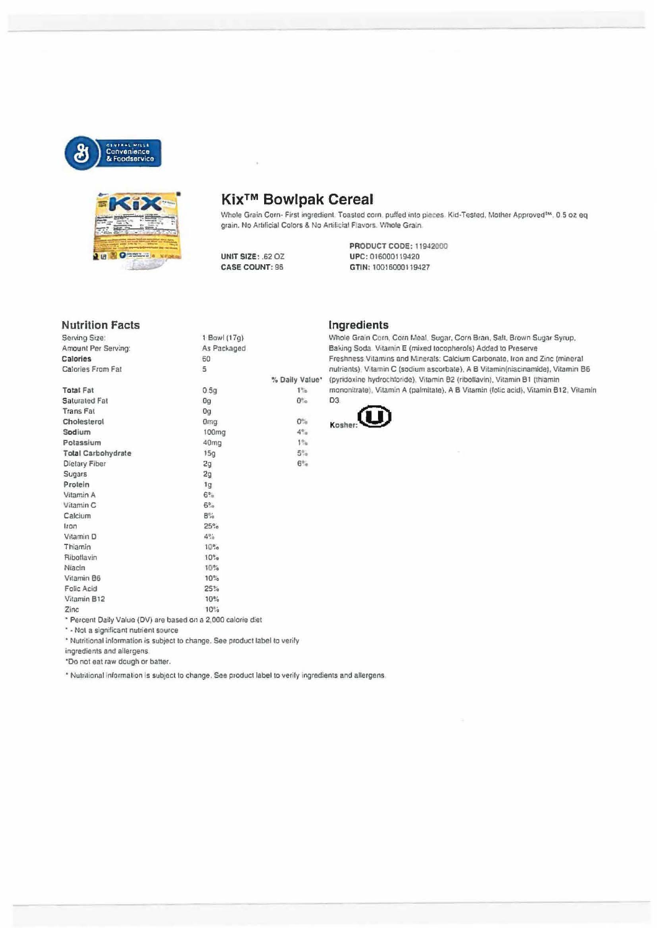



# Kix<sup>™</sup> Bowlpak Cereal

Whole Grain Corn- First ingredient. Toasted corn, puffed into pieces. Kid-Tested, Mother Approved<sup>tw</sup>, 0.5 oz eq grain. No Artificial Colors & No Artificial Flavors. Whole Grain.

**UNIT SIZE: .62 OZ CASE COUNT: 96** 

**PRODUCT CODE: 11942000** UPC: 016000119420 GTIN: 10016000119427

#### **Nutrition Facts**

| serving size:                                                                                | 1.50W1(1/0)                                       |                 |
|----------------------------------------------------------------------------------------------|---------------------------------------------------|-----------------|
| Amount Per Serving:                                                                          | As Packaged                                       |                 |
| <b>Calories</b>                                                                              | 60                                                |                 |
| Calories From Fat                                                                            | 5                                                 |                 |
|                                                                                              |                                                   | % Daily Va      |
| <b>Total Fat</b>                                                                             | 0.5q                                              | $1\%$           |
| Saturated Fat                                                                                | 0 <sub>9</sub>                                    | $0^\circ$       |
| <b>Trans Fat</b>                                                                             | 0g                                                |                 |
| Cholesterol                                                                                  | 0 <sub>mg</sub>                                   | $O^{\alpha}$    |
| Sodium                                                                                       | 100 <sub>mg</sub>                                 | $4\%$           |
| Potassium                                                                                    | 40mg                                              | 12 <sub>0</sub> |
| <b>Total Carbohydrate</b>                                                                    | 15q                                               | $5^\circ$       |
| Dietary Fiber                                                                                | 2q                                                | 6 <sup>o</sup>  |
| <b>Sugars</b>                                                                                | 2 <sub>g</sub>                                    |                 |
| Protein                                                                                      | 1 <sub>G</sub>                                    |                 |
| Vitamin A                                                                                    | $6\%$                                             |                 |
| Vitamin <sub>C</sub>                                                                         | $6\%$                                             |                 |
| Calcium                                                                                      | $B^{\alpha'}$                                     |                 |
| Iron                                                                                         | 25%                                               |                 |
| Vitamin D                                                                                    | $4\%$                                             |                 |
| Thiamin                                                                                      | 10%                                               |                 |
| Ribotlavin                                                                                   | 10%                                               |                 |
| Niacin                                                                                       | 10%                                               |                 |
| Vitamin B6                                                                                   | 10%                                               |                 |
| Folic Acid                                                                                   | 25%                                               |                 |
| Vitamin B12                                                                                  | 10%                                               |                 |
| Zinc                                                                                         | $10 - 4$                                          |                 |
| the company of the control of the company and company and control of the control of the con- | The management control to a function of a control |                 |

Ingredients

Whole Grain Corn, Corn Meal, Sugar, Corn Bran, Salt, Brown Sugar Syrup, Baking Soda. Vitamin E (mixed tocopherols) Added to Preserve Freshness Vitamins and Minerals: Calcium Carbonate, Iron and Zinc (mineral nutrients), Vitamin C (sodium ascorbate), A B Vitamin(niacinamide), Vitamin B6 alue\* (pyridoxine hydrochtoride), Vitamin B2 (riboflavin), Vitamin B1 (thiamin mononitrate), Vitamin A (palmitate). A B Vitamin (folic acid), Vitamin B12, Vitamin D<sub>3</sub>



\* Percent Daily Value (DV) are based on a 2,000 calorie diet

\* - Not a significant nutrient source

\* Nutritional information is subject to change. See product label to verify

ingredients and allergens

\*Do not eat raw dough or batter.

\* Nutritional information is subject to change. See product label to verify ingredients and allergens.